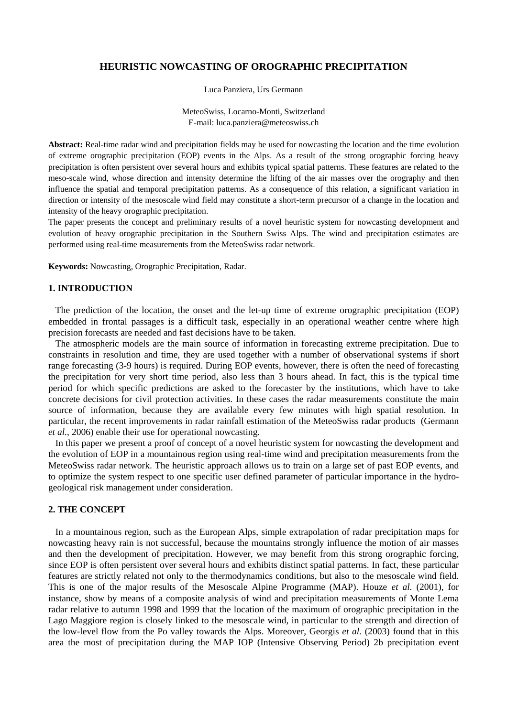# **HEURISTIC NOWCASTING OF OROGRAPHIC PRECIPITATION**

Luca Panziera, Urs Germann

MeteoSwiss, Locarno-Monti, Switzerland E-mail: [luca.panziera@meteoswiss.ch](mailto:luca.panziera@meteoswiss.ch)

**Abstract:** Real-time radar wind and precipitation fields may be used for nowcasting the location and the time evolution of extreme orographic precipitation (EOP) events in the Alps. As a result of the strong orographic forcing heavy precipitation is often persistent over several hours and exhibits typical spatial patterns. These features are related to the meso-scale wind, whose direction and intensity determine the lifting of the air masses over the orography and then influence the spatial and temporal precipitation patterns. As a consequence of this relation, a significant variation in direction or intensity of the mesoscale wind field may constitute a short-term precursor of a change in the location and intensity of the heavy orographic precipitation.

The paper presents the concept and preliminary results of a novel heuristic system for nowcasting development and evolution of heavy orographic precipitation in the Southern Swiss Alps. The wind and precipitation estimates are performed using real-time measurements from the MeteoSwiss radar network.

**Keywords:** Nowcasting, Orographic Precipitation, Radar.

## **1. INTRODUCTION**

 The prediction of the location, the onset and the let-up time of extreme orographic precipitation (EOP) embedded in frontal passages is a difficult task, especially in an operational weather centre where high precision forecasts are needed and fast decisions have to be taken.

 The atmospheric models are the main source of information in forecasting extreme precipitation. Due to constraints in resolution and time, they are used together with a number of observational systems if short range forecasting (3-9 hours) is required. During EOP events, however, there is often the need of forecasting the precipitation for very short time period, also less than 3 hours ahead. In fact, this is the typical time period for which specific predictions are asked to the forecaster by the institutions, which have to take concrete decisions for civil protection activities. In these cases the radar measurements constitute the main source of information, because they are available every few minutes with high spatial resolution. In particular, the recent improvements in radar rainfall estimation of the MeteoSwiss radar products (Germann *et al.*, 2006) enable their use for operational nowcasting.

 In this paper we present a proof of concept of a novel heuristic system for nowcasting the development and the evolution of EOP in a mountainous region using real-time wind and precipitation measurements from the MeteoSwiss radar network. The heuristic approach allows us to train on a large set of past EOP events, and to optimize the system respect to one specific user defined parameter of particular importance in the hydrogeological risk management under consideration.

## **2. THE CONCEPT**

 In a mountainous region, such as the European Alps, simple extrapolation of radar precipitation maps for nowcasting heavy rain is not successful, because the mountains strongly influence the motion of air masses and then the development of precipitation. However, we may benefit from this strong orographic forcing, since EOP is often persistent over several hours and exhibits distinct spatial patterns. In fact, these particular features are strictly related not only to the thermodynamics conditions, but also to the mesoscale wind field. This is one of the major results of the Mesoscale Alpine Programme (MAP). Houze *et al.* (2001), for instance, show by means of a composite analysis of wind and precipitation measurements of Monte Lema radar relative to autumn 1998 and 1999 that the location of the maximum of orographic precipitation in the Lago Maggiore region is closely linked to the mesoscale wind, in particular to the strength and direction of the low-level flow from the Po valley towards the Alps. Moreover, Georgis *et al.* (2003) found that in this area the most of precipitation during the MAP IOP (Intensive Observing Period) 2b precipitation event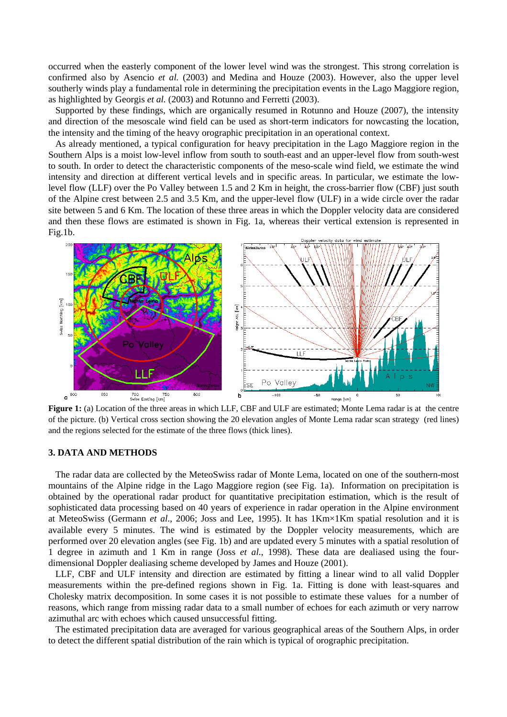occurred when the easterly component of the lower level wind was the strongest. This strong correlation is confirmed also by Asencio *et al.* (2003) and Medina and Houze (2003). However, also the upper level southerly winds play a fundamental role in determining the precipitation events in the Lago Maggiore region, as highlighted by Georgis *et al.* (2003) and Rotunno and Ferretti (2003).

Supported by these findings, which are organically resumed in Rotunno and Houze (2007), the intensity and direction of the mesoscale wind field can be used as short-term indicators for nowcasting the location, the intensity and the timing of the heavy orographic precipitation in an operational context.

As already mentioned, a typical configuration for heavy precipitation in the Lago Maggiore region in the Southern Alps is a moist low-level inflow from south to south-east and an upper-level flow from south-west to south. In order to detect the characteristic components of the meso-scale wind field, we estimate the wind intensity and direction at different vertical levels and in specific areas. In particular, we estimate the lowlevel flow (LLF) over the Po Valley between 1.5 and 2 Km in height, the cross-barrier flow (CBF) just south of the Alpine crest between 2.5 and 3.5 Km, and the upper-level flow (ULF) in a wide circle over the radar site between 5 and 6 Km. The location of these three areas in which the Doppler velocity data are considered and then these flows are estimated is shown in Fig. 1a, whereas their vertical extension is represented in Fig.1b.



**Figure 1:** (a) Location of the three areas in which LLF, CBF and ULF are estimated; Monte Lema radar is at the centre of the picture. (b) Vertical cross section showing the 20 elevation angles of Monte Lema radar scan strategy (red lines) and the regions selected for the estimate of the three flows (thick lines).

# **3. DATA AND METHODS**

The radar data are collected by the MeteoSwiss radar of Monte Lema, located on one of the southern-most mountains of the Alpine ridge in the Lago Maggiore region (see Fig. 1a). Information on precipitation is obtained by the operational radar product for quantitative precipitation estimation, which is the result of sophisticated data processing based on 40 years of experience in radar operation in the Alpine environment at MeteoSwiss (Germann *et al*., 2006; Joss and Lee, 1995). It has 1Km×1Km spatial resolution and it is available every 5 minutes. The wind is estimated by the Doppler velocity measurements, which are performed over 20 elevation angles (see Fig. 1b) and are updated every 5 minutes with a spatial resolution of 1 degree in azimuth and 1 Km in range (Joss *et al*., 1998). These data are dealiased using the fourdimensional Doppler dealiasing scheme developed by James and Houze (2001).

LLF, CBF and ULF intensity and direction are estimated by fitting a linear wind to all valid Doppler measurements within the pre-defined regions shown in Fig. 1a. Fitting is done with least-squares and Cholesky matrix decomposition. In some cases it is not possible to estimate these values for a number of reasons, which range from missing radar data to a small number of echoes for each azimuth or very narrow azimuthal arc with echoes which caused unsuccessful fitting.

The estimated precipitation data are averaged for various geographical areas of the Southern Alps, in order to detect the different spatial distribution of the rain which is typical of orographic precipitation.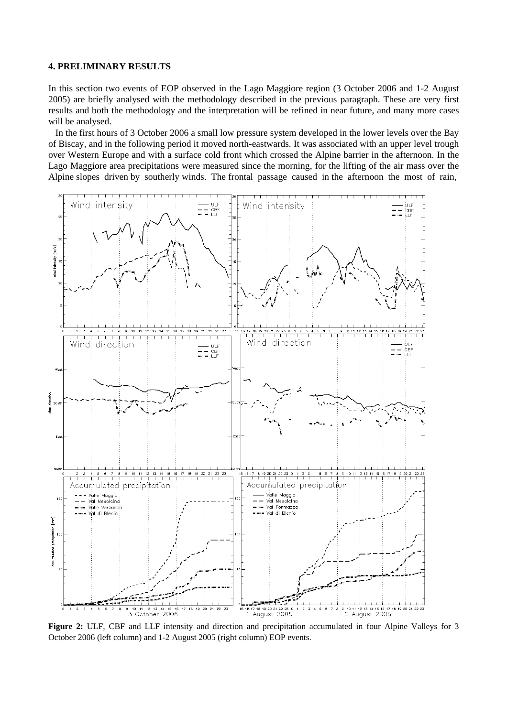#### **4. PRELIMINARY RESULTS**

In this section two events of EOP observed in the Lago Maggiore region (3 October 2006 and 1-2 August 2005) are briefly analysed with the methodology described in the previous paragraph. These are very first results and both the methodology and the interpretation will be refined in near future, and many more cases will be analysed.

 In the first hours of 3 October 2006 a small low pressure system developed in the lower levels over the Bay of Biscay, and in the following period it moved north-eastwards. It was associated with an upper level trough over Western Europe and with a surface cold front which crossed the Alpine barrier in the afternoon. In the Lago Maggiore area precipitations were measured since the morning, for the lifting of the air mass over the Alpine slopes driven by southerly winds. The frontal passage caused in the afternoon the most of rain,



**Figure 2:** ULF, CBF and LLF intensity and direction and precipitation accumulated in four Alpine Valleys for 3 October 2006 (left column) and 1-2 August 2005 (right column) EOP events.